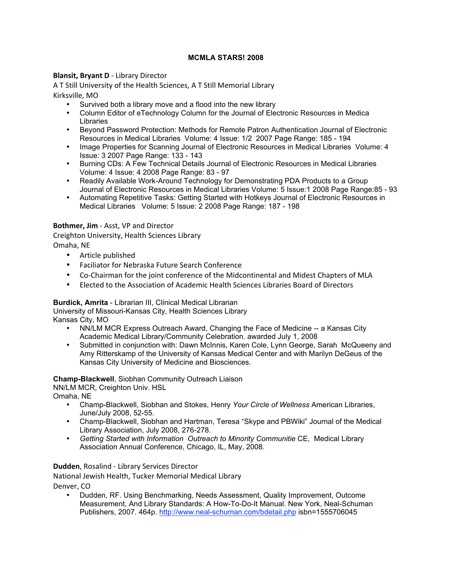# **MCMLA STARS! 2008**

# **Blansit, Bryant D** - Library Director

A
T
Still
University
of
the
Health
Sciences,
A
T
Still
Memorial
Library Kirksville,
MO

- Survived both a library move and a flood into the new library
- Column Editor of eTechnology Column for the Journal of Electronic Resources in Medica Libraries
- Beyond Password Protection: Methods for Remote Patron Authentication Journal of Electronic Resources in Medical Libraries Volume: 4 Issue: 1/2 2007 Page Range: 185 - 194
- Image Properties for Scanning Journal of Electronic Resources in Medical Libraries Volume: 4 Issue: 3 2007 Page Range: 133 - 143
- Burning CDs: A Few Technical Details Journal of Electronic Resources in Medical Libraries Volume: 4 Issue: 4 2008 Page Range: 83 - 97
- Readily Available Work-Around Technology for Demonstrating PDA Products to a Group Journal of Electronic Resources in Medical Libraries Volume: 5 Issue:1 2008 Page Range:85 - 93
- Automating Repetitive Tasks: Getting Started with Hotkeys Journal of Electronic Resources in Medical Libraries Volume: 5 Issue: 2 2008 Page Range: 187 - 198

# **Bothmer, Jim** - Asst, VP and Director

Creighton
University,
Health
Sciences
Library Omaha,
NE

- Article
published
- Faciliator
for
Nebraska
Future
Search
Conference
- Co-Chairman for the joint conference of the Midcontinental and Midest Chapters of MLA
- Elected to the Association of Academic Health Sciences Libraries Board of Directors

# **Burdick, Amrita** - Librarian III, Clinical Medical Librarian

University of Missouri-Kansas City, Health Sciences Library

Kansas City, MO

- NN/LM MCR Express Outreach Award, Changing the Face of Medicine -- a Kansas City Academic Medical Library/Community Celebration. awarded July 1, 2008
- Submitted in conjunction with: Dawn McInnis, Karen Cole, Lynn George, Sarah McQueeny and Amy Ritterskamp of the University of Kansas Medical Center and with Marilyn DeGeus of the Kansas City University of Medicine and Biosciences.

# **Champ-Blackwell**, Siobhan Community Outreach Liaison

NN/LM MCR, Creighton Univ. HSL

Omaha, NE

- Champ-Blackwell, Siobhan and Stokes, Henry *Your Circle of Wellness* American Libraries, June/July 2008, 52-55.
- Champ-Blackwell, Siobhan and Hartman, Teresa "Skype and PBWiki" Journal of the Medical Library Association, July 2008, 276-278.
- *Getting Started with Information Outreach to Minority Communitie* CE, Medical Library Association Annual Conference, Chicago, IL, May, 2008.

# **Dudden**,
Rosalind
‐ Library
Services
Director

National
Jewish
Health,
Tucker
Memorial
Medical
Library

Denver,
CO

• Dudden, RF. Using Benchmarking, Needs Assessment, Quality Improvement, Outcome Measurement, And Library Standards: A How-To-Do-It Manual. New York, Neal-Schuman Publishers, 2007. 464p. http://www.neal-schuman.com/bdetail.php isbn=1555706045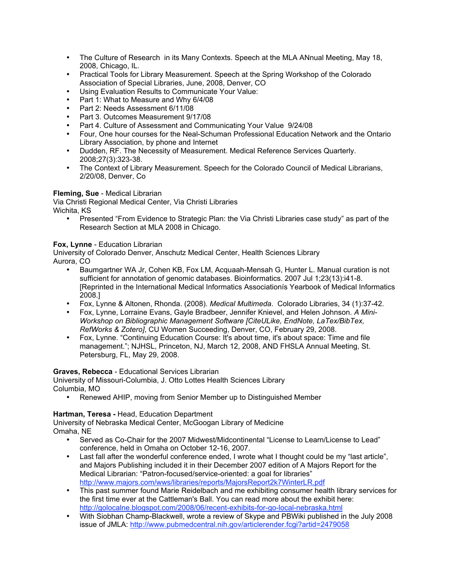- The Culture of Research in its Many Contexts. Speech at the MLA ANnual Meeting, May 18, 2008, Chicago, IL.
- Practical Tools for Library Measurement. Speech at the Spring Workshop of the Colorado Association of Special Libraries, June, 2008, Denver, CO
- Using Evaluation Results to Communicate Your Value:
- Part 1: What to Measure and Why 6/4/08
- Part 2: Needs Assessment 6/11/08
- Part 3. Outcomes Measurement 9/17/08
- Part 4. Culture of Assessment and Communicating Your Value 9/24/08
- Four, One hour courses for the Neal-Schuman Professional Education Network and the Ontario Library Association, by phone and Internet
- Dudden, RF. The Necessity of Measurement. Medical Reference Services Quarterly. 2008;27(3):323-38.
- The Context of Library Measurement. Speech for the Colorado Council of Medical Librarians, 2/20/08, Denver, Co

# **Fleming, Sue** - Medical Librarian

Via Christi Regional Medical Center, Via Christi Libraries Wichita, KS

• Presented "From Evidence to Strategic Plan: the Via Christi Libraries case study" as part of the Research Section at MLA 2008 in Chicago.

# **Fox, Lynne** - Education Librarian

University of Colorado Denver, Anschutz Medical Center, Health Sciences Library Aurora, CO

- Baumgartner WA Jr, Cohen KB, Fox LM, Acquaah-Mensah G, Hunter L. Manual curation is not sufficient for annotation of genomic databases. Bioinformatics. 2007 Jul 1;23(13):i41-8. [Reprinted in the International Medical Informatics Associationís Yearbook of Medical Informatics 2008.]
- Fox, Lynne & Altonen, Rhonda. (2008). *Medical Multimeda*. Colorado Libraries, 34 (1):37-42.
- Fox, Lynne, Lorraine Evans, Gayle Bradbeer, Jennifer Knievel, and Helen Johnson. *A Mini-Workshop on Bibliographic Management Software [CiteULike, EndNote, LaTex/BibTex, RefWorks & Zotero]*, CU Women Succeeding, Denver, CO, February 29, 2008.
- Fox, Lynne. "Continuing Education Course: It's about time, it's about space: Time and file management."; NJHSL, Princeton, NJ, March 12, 2008, AND FHSLA Annual Meeting, St. Petersburg, FL, May 29, 2008.

# **Graves, Rebecca** - Educational Services Librarian

University of Missouri-Columbia, J. Otto Lottes Health Sciences Library Columbia, MO

• Renewed AHIP, moving from Senior Member up to Distinguished Member

# **Hartman, Teresa -** Head, Education Department

University of Nebraska Medical Center, McGoogan Library of Medicine Omaha, NE

- Served as Co-Chair for the 2007 Midwest/Midcontinental "License to Learn/License to Lead" conference, held in Omaha on October 12-16, 2007.
- Last fall after the wonderful conference ended. I wrote what I thought could be my "last article", and Majors Publishing included it in their December 2007 edition of A Majors Report for the Medical Librarian: "Patron-focused/service-oriented: a goal for libraries" http://www.majors.com/wws/libraries/reports/MajorsReport2k7WinterLR.pdf
- This past summer found Marie Reidelbach and me exhibiting consumer health library services for the first time ever at the Cattleman's Ball. You can read more about the exhibit here: http://golocalne.blogspot.com/2008/06/recent-exhibits-for-go-local-nebraska.html
- With Siobhan Champ-Blackwell, wrote a review of Skype and PBWiki published in the July 2008 issue of JMLA: http://www.pubmedcentral.nih.gov/articlerender.fcgi?artid=2479058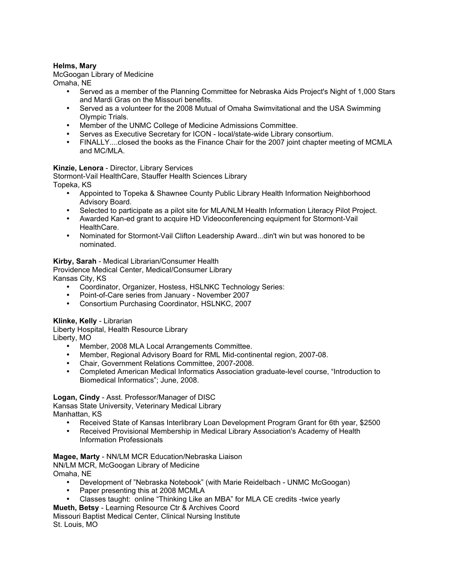# **Helms, Mary**

McGoogan Library of Medicine Omaha, NE

- Served as a member of the Planning Committee for Nebraska Aids Project's Night of 1,000 Stars and Mardi Gras on the Missouri benefits.
- Served as a volunteer for the 2008 Mutual of Omaha Swimvitational and the USA Swimming Olympic Trials.
- Member of the UNMC College of Medicine Admissions Committee.
- Serves as Executive Secretary for ICON local/state-wide Library consortium.
- FINALLY....closed the books as the Finance Chair for the 2007 joint chapter meeting of MCMLA and MC/MLA.

# **Kinzie, Lenora** - Director, Library Services

Stormont-Vail HealthCare, Stauffer Health Sciences Library Topeka, KS

- Appointed to Topeka & Shawnee County Public Library Health Information Neighborhood Advisory Board.
- Selected to participate as a pilot site for MLA/NLM Health Information Literacy Pilot Project.
- Awarded Kan-ed grant to acquire HD Videoconferencing equipment for Stormont-Vail HealthCare.
- Nominated for Stormont-Vail Clifton Leadership Award...din't win but was honored to be nominated.

#### **Kirby, Sarah** - Medical Librarian/Consumer Health

Providence Medical Center, Medical/Consumer Library Kansas City, KS

- Coordinator, Organizer, Hostess, HSLNKC Technology Series:
- Point-of-Care series from January November 2007
- Consortium Purchasing Coordinator, HSLNKC, 2007

#### **Klinke, Kelly** - Librarian

Liberty Hospital, Health Resource Library Liberty, MO

- Member, 2008 MLA Local Arrangements Committee.
- Member, Regional Advisory Board for RML Mid-continental region, 2007-08.
- Chair, Government Relations Committee, 2007-2008.
- Completed American Medical Informatics Association graduate-level course, "Introduction to Biomedical Informatics"; June, 2008.

#### **Logan, Cindy** - Asst. Professor/Manager of DISC

Kansas State University, Veterinary Medical Library Manhattan, KS

- Received State of Kansas Interlibrary Loan Development Program Grant for 6th year, \$2500
- Received Provisional Membership in Medical Library Association's Academy of Health Information Professionals

# **Magee, Marty** - NN/LM MCR Education/Nebraska Liaison

NN/LM MCR, McGoogan Library of Medicine Omaha, NE

- Development of "Nebraska Notebook" (with Marie Reidelbach UNMC McGoogan)
- Paper presenting this at 2008 MCMLA
- Classes taught: online "Thinking Like an MBA" for MLA CE credits -twice yearly
- **Mueth, Betsy** Learning Resource Ctr & Archives Coord

Missouri Baptist Medical Center, Clinical Nursing Institute St. Louis, MO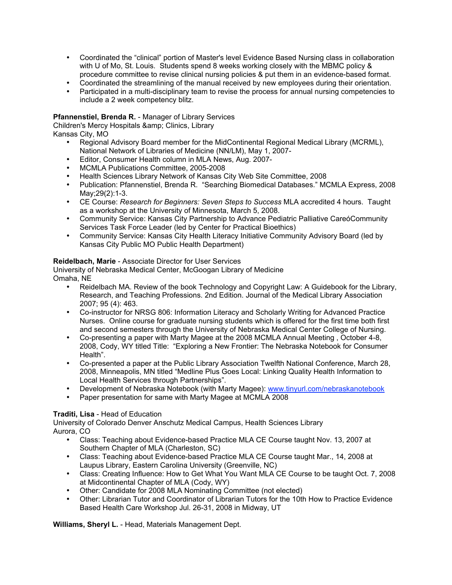- Coordinated the "clinical" portion of Master's level Evidence Based Nursing class in collaboration with U of Mo, St. Louis. Students spend 8 weeks working closely with the MBMC policy & procedure committee to revise clinical nursing policies & put them in an evidence-based format.
- Coordinated the streamlining of the manual received by new employees during their orientation.
- Participated in a multi-disciplinary team to revise the process for annual nursing competencies to include a 2 week competency blitz.

#### **Pfannenstiel, Brenda R.** - Manager of Library Services

Children's Mercy Hospitals & amp; Clinics, Library Kansas City, MO

- Regional Advisory Board member for the MidContinental Regional Medical Library (MCRML), National Network of Libraries of Medicine (NN/LM), May 1, 2007-
- Editor, Consumer Health column in MLA News, Aug. 2007-
- MCMLA Publications Committee, 2005-2008
- Health Sciences Library Network of Kansas City Web Site Committee, 2008
- Publication: Pfannenstiel, Brenda R. "Searching Biomedical Databases." MCMLA Express, 2008 May;29(2):1-3.
- CE Course: *Research for Beginners: Seven Steps to Success* MLA accredited 4 hours. Taught as a workshop at the University of Minnesota, March 5, 2008.
- Community Service: Kansas City Partnership to Advance Pediatric Palliative CareóCommunity Services Task Force Leader (led by Center for Practical Bioethics)
- Community Service: Kansas City Health Literacy Initiative Community Advisory Board (led by Kansas City Public MO Public Health Department)

#### **Reidelbach, Marie** - Associate Director for User Services

University of Nebraska Medical Center, McGoogan Library of Medicine Omaha, NE

- Reidelbach MA. Review of the book Technology and Copyright Law: A Guidebook for the Library, Research, and Teaching Professions. 2nd Edition. Journal of the Medical Library Association 2007; 95 (4): 463.
- Co-instructor for NRSG 806: Information Literacy and Scholarly Writing for Advanced Practice Nurses. Online course for graduate nursing students which is offered for the first time both first and second semesters through the University of Nebraska Medical Center College of Nursing.
- Co-presenting a paper with Marty Magee at the 2008 MCMLA Annual Meeting , October 4-8, 2008, Cody, WY titled Title: "Exploring a New Frontier: The Nebraska Notebook for Consumer Health".
- Co-presented a paper at the Public Library Association Twelfth National Conference, March 28, 2008, Minneapolis, MN titled "Medline Plus Goes Local: Linking Quality Health Information to Local Health Services through Partnerships".
- Development of Nebraska Notebook (with Marty Magee): www.tinyurl.com/nebraskanotebook
- Paper presentation for same with Marty Magee at MCMLA 2008

#### **Traditi, Lisa** - Head of Education

University of Colorado Denver Anschutz Medical Campus, Health Sciences Library Aurora, CO

- Class: Teaching about Evidence-based Practice MLA CE Course taught Nov. 13, 2007 at Southern Chapter of MLA (Charleston, SC)
- Class: Teaching about Evidence-based Practice MLA CE Course taught Mar., 14, 2008 at Laupus Library, Eastern Carolina University (Greenville, NC)
- Class: Creating Influence: How to Get What You Want MLA CE Course to be taught Oct. 7, 2008 at Midcontinental Chapter of MLA (Cody, WY)
- Other: Candidate for 2008 MLA Nominating Committee (not elected)
- Other: Librarian Tutor and Coordinator of Librarian Tutors for the 10th How to Practice Evidence Based Health Care Workshop Jul. 26-31, 2008 in Midway, UT

**Williams, Sheryl L.** - Head, Materials Management Dept.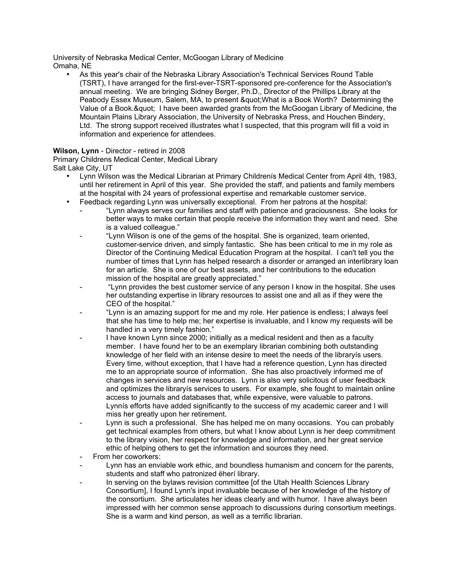University of Nebraska Medical Center, McGoogan Library of Medicine Omaha, NE

• As this year's chair of the Nebraska Library Association's Technical Services Round Table (TSRT), I have arranged for the first-ever-TSRT-sponsored pre-conference for the Association's annual meeting. We are bringing Sidney Berger, Ph.D., Director of the Phillips Library at the Peabody Essex Museum, Salem, MA, to present & quot; What is a Book Worth? Determining the Value of a Book. & quot; I have been awarded grants from the McGoogan Library of Medicine, the Mountain Plains Library Association, the University of Nebraska Press, and Houchen Bindery, Ltd. The strong support received illustrates what I suspected, that this program will fill a void in information and experience for attendees.

# **Wilson, Lynn** - Director - retired in 2008

Primary Childrens Medical Center, Medical Library Salt Lake City, UT

- Lynn Wilson was the Medical Librarian at Primary Childrenís Medical Center from April 4th, 1983, until her retirement in April of this year. She provided the staff, and patients and family members at the hospital with 24 years of professional expertise and remarkable customer service.
- Feedback regarding Lynn was universally exceptional. From her patrons at the hospital:
	- "Lynn always serves our families and staff with patience and graciousness. She looks for better ways to make certain that people receive the information they want and need. She is a valued colleague."
	- "Lynn Wilson is one of the gems of the hospital. She is organized, team oriented, customer-service driven, and simply fantastic. She has been critical to me in my role as Director of the Continuing Medical Education Program at the hospital. I can't tell you the number of times that Lynn has helped research a disorder or arranged an interlibrary loan for an article. She is one of our best assets, and her contributions to the education mission of the hospital are greatly appreciated."
	- "Lynn provides the best customer service of any person I know in the hospital. She uses her outstanding expertise in library resources to assist one and all as if they were the CEO of the hospital."
	- "Lynn is an amazing support for me and my role. Her patience is endless; I always feel that she has time to help me; her expertise is invaluable, and I know my requests will be handled in a very timely fashion."
	- I have known Lynn since 2000; initially as a medical resident and then as a faculty member. I have found her to be an exemplary librarian combining both outstanding knowledge of her field with an intense desire to meet the needs of the libraryís users. Every time, without exception, that I have had a reference question, Lynn has directed me to an appropriate source of information. She has also proactively informed me of changes in services and new resources. Lynn is also very solicitous of user feedback and optimizes the libraryís services to users. For example, she fought to maintain online access to journals and databases that, while expensive, were valuable to patrons. Lynnís efforts have added significantly to the success of my academic career and I will miss her greatly upon her retirement.
	- Lynn is such a professional. She has helped me on many occasions. You can probably get technical examples from others, but what I know about Lynn is her deep commitment to the library vision, her respect for knowledge and information, and her great service ethic of helping others to get the information and sources they need.
	- From her coworkers:
	- Lynn has an enviable work ethic, and boundless humanism and concern for the parents, students and staff who patronized ëherí library.
	- In serving on the bylaws revision committee [of the Utah Health Sciences Library Consortium], I found Lynn's input invaluable because of her knowledge of the history of the consortium. She articulates her ideas clearly and with humor. I have always been impressed with her common sense approach to discussions during consortium meetings. She is a warm and kind person, as well as a terrific librarian.